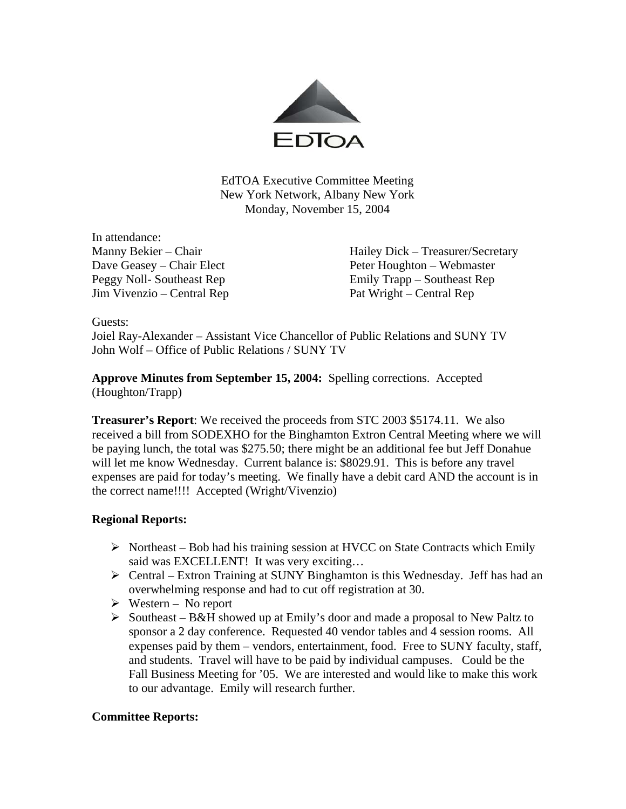

EdTOA Executive Committee Meeting New York Network, Albany New York Monday, November 15, 2004

In attendance: Jim Vivenzio – Central Rep Pat Wright – Central Rep

Manny Bekier – Chair Hailey Dick – Treasurer/Secretary Dave Geasey – Chair Elect Peter Houghton – Webmaster Peggy Noll- Southeast Rep Emily Trapp – Southeast Rep

Guests:

Joiel Ray-Alexander – Assistant Vice Chancellor of Public Relations and SUNY TV John Wolf – Office of Public Relations / SUNY TV

**Approve Minutes from September 15, 2004:** Spelling corrections. Accepted (Houghton/Trapp)

**Treasurer's Report**: We received the proceeds from STC 2003 \$5174.11. We also received a bill from SODEXHO for the Binghamton Extron Central Meeting where we will be paying lunch, the total was \$275.50; there might be an additional fee but Jeff Donahue will let me know Wednesday. Current balance is: \$8029.91. This is before any travel expenses are paid for today's meeting. We finally have a debit card AND the account is in the correct name!!!! Accepted (Wright/Vivenzio)

### **Regional Reports:**

- $\triangleright$  Northeast Bob had his training session at HVCC on State Contracts which Emily said was EXCELLENT! It was very exciting...
- $\triangleright$  Central Extron Training at SUNY Binghamton is this Wednesday. Jeff has had an overwhelming response and had to cut off registration at 30.
- $\triangleright$  Western No report
- $\triangleright$  Southeast B&H showed up at Emily's door and made a proposal to New Paltz to sponsor a 2 day conference. Requested 40 vendor tables and 4 session rooms. All expenses paid by them – vendors, entertainment, food. Free to SUNY faculty, staff, and students. Travel will have to be paid by individual campuses. Could be the Fall Business Meeting for '05. We are interested and would like to make this work to our advantage. Emily will research further.

### **Committee Reports:**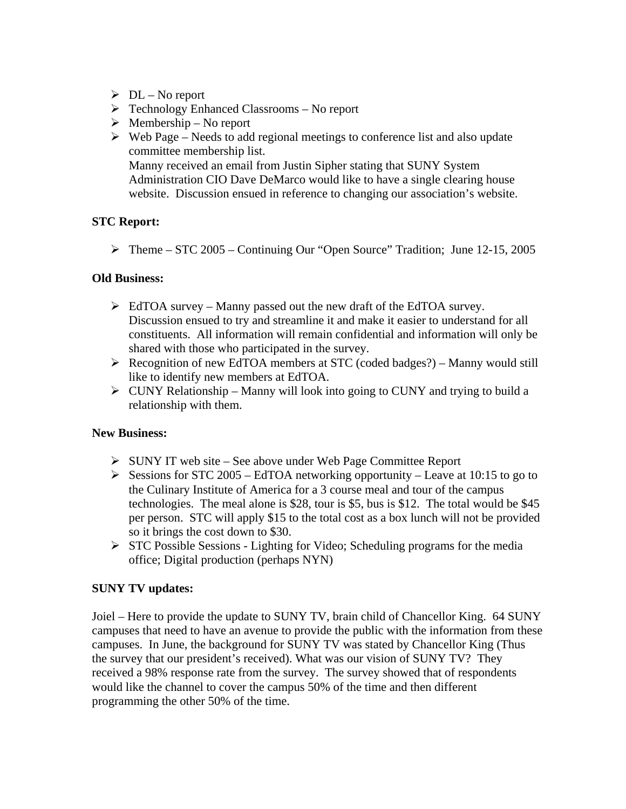- $\triangleright$  DL No report
- $\triangleright$  Technology Enhanced Classrooms No report
- $\triangleright$  Membership No report
- $\triangleright$  Web Page Needs to add regional meetings to conference list and also update committee membership list. Manny received an email from Justin Sipher stating that SUNY System Administration CIO Dave DeMarco would like to have a single clearing house website. Discussion ensued in reference to changing our association's website.

## **STC Report:**

 $\triangleright$  Theme – STC 2005 – Continuing Our "Open Source" Tradition; June 12-15, 2005

### **Old Business:**

- $\triangleright$  EdTOA survey Manny passed out the new draft of the EdTOA survey. Discussion ensued to try and streamline it and make it easier to understand for all constituents. All information will remain confidential and information will only be shared with those who participated in the survey.
- ¾ Recognition of new EdTOA members at STC (coded badges?) Manny would still like to identify new members at EdTOA.
- $\triangleright$  CUNY Relationship Manny will look into going to CUNY and trying to build a relationship with them.

### **New Business:**

- ¾ SUNY IT web site See above under Web Page Committee Report
- $\triangleright$  Sessions for STC 2005 EdTOA networking opportunity Leave at 10:15 to go to the Culinary Institute of America for a 3 course meal and tour of the campus technologies. The meal alone is \$28, tour is \$5, bus is \$12. The total would be \$45 per person. STC will apply \$15 to the total cost as a box lunch will not be provided so it brings the cost down to \$30.
- $\triangleright$  STC Possible Sessions Lighting for Video; Scheduling programs for the media office; Digital production (perhaps NYN)

# **SUNY TV updates:**

Joiel – Here to provide the update to SUNY TV, brain child of Chancellor King. 64 SUNY campuses that need to have an avenue to provide the public with the information from these campuses. In June, the background for SUNY TV was stated by Chancellor King (Thus the survey that our president's received). What was our vision of SUNY TV? They received a 98% response rate from the survey. The survey showed that of respondents would like the channel to cover the campus 50% of the time and then different programming the other 50% of the time.